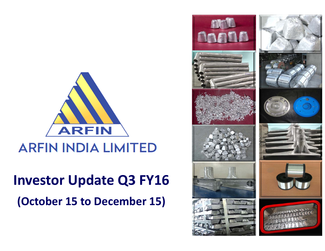

## **ARFIN INDIA LIMITED**

# **Investor Update Q3 FY16 (October 15 to December 15)**

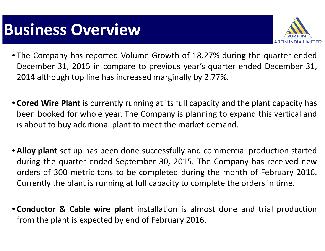# **Business Overview**



- The Company has reported Volume Growth of 18.27% during the quarter ended December 31, 2015 in compare to previous year's quarter ended December 31, 2014 although top line has increased marginally by 2.77%.
- **Cored Wire Plant** is currently running at its full capacity and the plant capacity has been booked for whole year. The Company is planning to expand this vertical and is about to buy additional plant to meet the market demand.
- **Alloy plant** set up has been done successfully and commercial production started during the quarter ended September 30, 2015. The Company has received new orders of 300 metric tons to be completed during the month of February 2016. Currently the plant is running at full capacity to complete the orders in time.
- **Conductor & Cable wire plant** installation is almost done and trial production from the plant is expected by end of February 2016.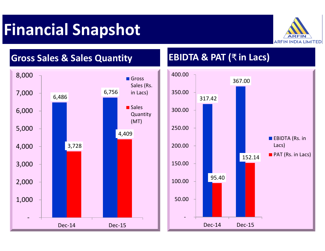# **Financial Snapshot**





#### **Sales Quantity EBIDTA & PAT (**₹ **in Lacs)**

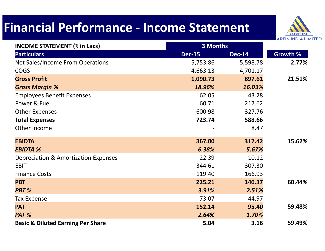### **Financial Performance ‐ Income Statement**



| <b>INCOME STATEMENT (₹ in Lacs)</b>          | 3 Months      |               |          |
|----------------------------------------------|---------------|---------------|----------|
| <b>Particulars</b>                           | <b>Dec-15</b> | <b>Dec-14</b> | Growth % |
| Net Sales/Income From Operations             | 5,753.86      | 5,598.78      | 2.77%    |
| <b>COGS</b>                                  | 4,663.13      | 4,701.17      |          |
| <b>Gross Profit</b>                          | 1,090.73      | 897.61        | 21.51%   |
| <b>Gross Margin %</b>                        | 18.96%        | 16.03%        |          |
| <b>Employees Benefit Expenses</b>            | 62.05         | 43.28         |          |
| Power & Fuel                                 | 60.71         | 217.62        |          |
| <b>Other Expenses</b>                        | 600.98        | 327.76        |          |
| <b>Total Expenses</b>                        | 723.74        | 588.66        |          |
| Other Income                                 |               | 8.47          |          |
| <b>EBIDTA</b>                                | 367.00        | 317.42        | 15.62%   |
| <b>EBIDTA %</b>                              | 6.38%         | 5.67%         |          |
| Depreciation & Amortization Expenses         | 22.39         | 10.12         |          |
| <b>EBIT</b>                                  | 344.61        | 307.30        |          |
| <b>Finance Costs</b>                         | 119.40        | 166.93        |          |
| <b>PBT</b>                                   | 225.21        | 140.37        | 60.44%   |
| PBT %                                        | 3.91%         | 2.51%         |          |
| Tax Expense                                  | 73.07         | 44.97         |          |
| <b>PAT</b>                                   | 152.14        | 95.40         | 59.48%   |
| PAT %                                        | 2.64%         | 1.70%         |          |
| <b>Basic &amp; Diluted Earning Per Share</b> | 5.04          | 3.16          | 59.49%   |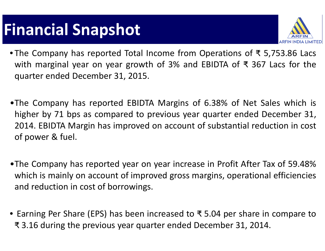# **Financial Snapshot**



- The Company has reported Total Income from Operations of ₹ 5,753.86 Lacs with marginal year on year growth of 3% and EBIDTA of ₹ 367 Lacs for the quarter ended December 31, 2015.
- •The Company has reported EBIDTA Margins of 6.38% of Net Sales which is higher by 71 bps as compared to previous year quarter ended December 31, 2014. EBIDTA Margin has improved on account of substantial reduction in cost of power & fuel.
- •The Company has reported year on year increase in Profit After Tax of 59.48% which is mainly on account of improved gross margins, operational efficiencies and reduction in cost of borrowings.
- Earning Per Share (EPS) has been increased to ₹ 5.04 per share in compare to ₹ 3.16 during the previous year quarter ended December 31, 2014.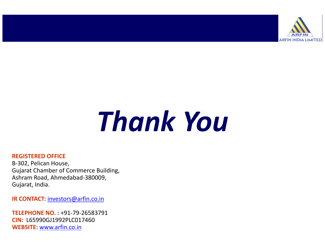

# *Thank You*

#### **REGISTERED OFFICE**

B‐302, Pelican House, Gujarat Chamber of Commerce Building, Ashram Road, Ahmedabad‐380009, Gujarat, India.

**IR CONTACT:** investors@arfin.co.in

**TELEPHONE NO. :** +91‐79‐26583791**CIN:** L65990GJ1992PLC017460**WEBSITE:** www.arfin.co.in